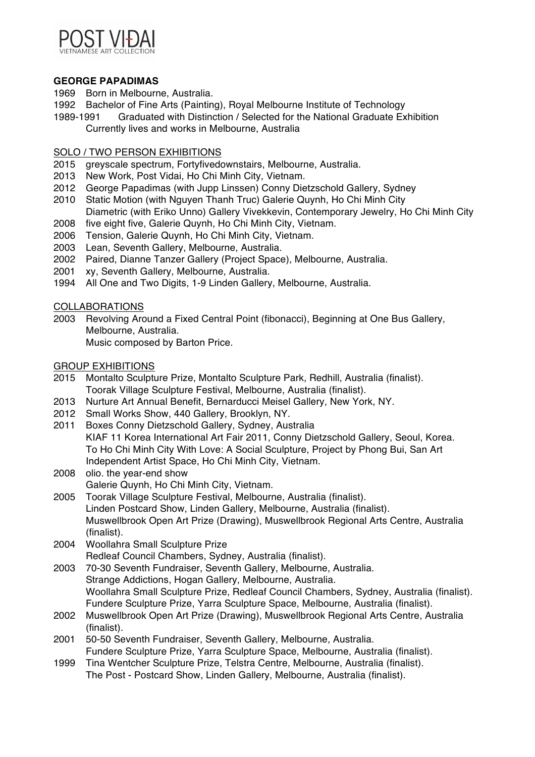

## **GEORGE PAPADIMAS**

- 1969 Born in Melbourne, Australia.
- 1992 Bachelor of Fine Arts (Painting), Royal Melbourne Institute of Technology
- 1989-1991 Graduated with Distinction / Selected for the National Graduate Exhibition Currently lives and works in Melbourne, Australia

# SOLO / TWO PERSON EXHIBITIONS

- 2015 greyscale spectrum, Fortyfivedownstairs, Melbourne, Australia.
- 2013 New Work, Post Vidai, Ho Chi Minh City, Vietnam.
- 2012 George Papadimas (with Jupp Linssen) Conny Dietzschold Gallery, Sydney
- 2010 Static Motion (with Nguyen Thanh Truc) Galerie Quynh, Ho Chi Minh City Diametric (with Eriko Unno) Gallery Vivekkevin, Contemporary Jewelry, Ho Chi Minh City
- 2008 five eight five, Galerie Quynh, Ho Chi Minh City, Vietnam.
- 2006 Tension, Galerie Quynh, Ho Chi Minh City, Vietnam.
- 2003 Lean, Seventh Gallery, Melbourne, Australia.
- 2002 Paired, Dianne Tanzer Gallery (Project Space), Melbourne, Australia.
- 2001 xy, Seventh Gallery, Melbourne, Australia.
- 1994 All One and Two Digits, 1-9 Linden Gallery, Melbourne, Australia.

## COLLABORATIONS

2003 Revolving Around a Fixed Central Point (fibonacci), Beginning at One Bus Gallery, Melbourne, Australia. Music composed by Barton Price.

# GROUP EXHIBITIONS

- 2015 Montalto Sculpture Prize, Montalto Sculpture Park, Redhill, Australia (finalist). Toorak Village Sculpture Festival, Melbourne, Australia (finalist).
- 2013 Nurture Art Annual Benefit, Bernarducci Meisel Gallery, New York, NY.
- 2012 Small Works Show, 440 Gallery, Brooklyn, NY.
- 2011 Boxes Conny Dietzschold Gallery, Sydney, Australia KIAF 11 Korea International Art Fair 2011, Conny Dietzschold Gallery, Seoul, Korea. To Ho Chi Minh City With Love: A Social Sculpture, Project by Phong Bui, San Art Independent Artist Space, Ho Chi Minh City, Vietnam.
- 2008 olio. the year-end show Galerie Quynh, Ho Chi Minh City, Vietnam.
- 2005 Toorak Village Sculpture Festival, Melbourne, Australia (finalist). Linden Postcard Show, Linden Gallery, Melbourne, Australia (finalist). Muswellbrook Open Art Prize (Drawing), Muswellbrook Regional Arts Centre, Australia (finalist).
- 2004 Woollahra Small Sculpture Prize Redleaf Council Chambers, Sydney, Australia (finalist).
- 2003 70-30 Seventh Fundraiser, Seventh Gallery, Melbourne, Australia. Strange Addictions, Hogan Gallery, Melbourne, Australia. Woollahra Small Sculpture Prize, Redleaf Council Chambers, Sydney, Australia (finalist). Fundere Sculpture Prize, Yarra Sculpture Space, Melbourne, Australia (finalist).
- 2002 Muswellbrook Open Art Prize (Drawing), Muswellbrook Regional Arts Centre, Australia (finalist).
- 2001 50-50 Seventh Fundraiser, Seventh Gallery, Melbourne, Australia. Fundere Sculpture Prize, Yarra Sculpture Space, Melbourne, Australia (finalist).
- 1999 Tina Wentcher Sculpture Prize, Telstra Centre, Melbourne, Australia (finalist). The Post - Postcard Show, Linden Gallery, Melbourne, Australia (finalist).